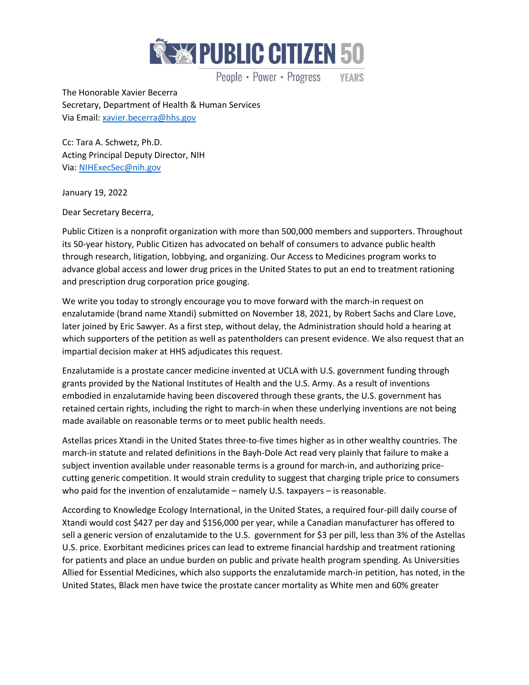

People • Power • Progress **YEARS** 

The Honorable Xavier Becerra Secretary, Department of Health & Human Services Via Email[: xavier.becerra@hhs.gov](mailto:xavier.becerra@hhs.gov)

Cc: Tara A. Schwetz, Ph.D. Acting Principal Deputy Director, NIH Via[: NIHExecSec@nih.gov](mailto:NIHExecSec@nih.gov)

January 19, 2022

Dear Secretary Becerra,

Public Citizen is a nonprofit organization with more than 500,000 members and supporters. Throughout its 50-year history, Public Citizen has advocated on behalf of consumers to advance public health through research, litigation, lobbying, and organizing. Our Access to Medicines program works to advance global access and lower drug prices in the United States to put an end to treatment rationing and prescription drug corporation price gouging.

We write you today to strongly encourage you to move forward with the march-in request on enzalutamide (brand name Xtandi) submitted on November 18, 2021, by Robert Sachs and Clare Love, later joined by Eric Sawyer. As a first step, without delay, the Administration should hold a hearing at which supporters of the petition as well as patentholders can present evidence. We also request that an impartial decision maker at HHS adjudicates this request.

Enzalutamide is a prostate cancer medicine invented at UCLA with U.S. government funding through grants provided by the National Institutes of Health and the U.S. Army. As a result of inventions embodied in enzalutamide having been discovered through these grants, the U.S. government has retained certain rights, including the right to march-in when these underlying inventions are not being made available on reasonable terms or to meet public health needs.

Astellas prices Xtandi in the United States three-to-five times higher as in other wealthy countries. The march-in statute and related definitions in the Bayh-Dole Act read very plainly that failure to make a subject invention available under reasonable terms is a ground for march-in, and authorizing pricecutting generic competition. It would strain credulity to suggest that charging triple price to consumers who paid for the invention of enzalutamide – namely U.S. taxpayers – is reasonable.

According to Knowledge Ecology International, in the United States, a required four-pill daily course of Xtandi would cost \$427 per day and \$156,000 per year, while a Canadian manufacturer has offered to sell a generic version of enzalutamide to the U.S. government for \$3 per pill, less than 3% of the Astellas U.S. price. Exorbitant medicines prices can lead to extreme financial hardship and treatment rationing for patients and place an undue burden on public and private health program spending. As Universities Allied for Essential Medicines, which also supports the enzalutamide march-in petition, has noted, in the United States, Black men have twice the prostate cancer mortality as White men and 60% greater